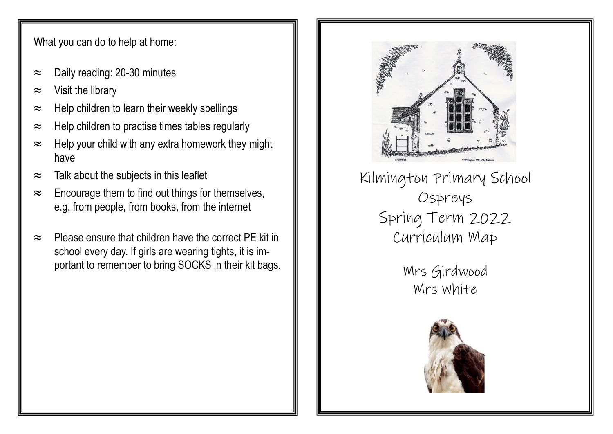What you can do to help at home:

- $\approx$  Daily reading: 20-30 minutes
- $\approx$  Visit the library
- $\approx$  Help children to learn their weekly spellings
- $\approx$  Help children to practise times tables regularly
- $\approx$  Help your child with any extra homework they might have
- $\approx$  Talk about the subjects in this leaflet
- $\approx$  Encourage them to find out things for themselves, e.g. from people, from books, from the internet
- $\approx$  Please ensure that children have the correct PF kit in school every day. If girls are wearing tights, it is important to remember to bring SOCKS in their kit bags.



Kilmington Primary School Ospreys Spring Term 2022 Curriculum Map

> Mrs Girdwood Mrs White